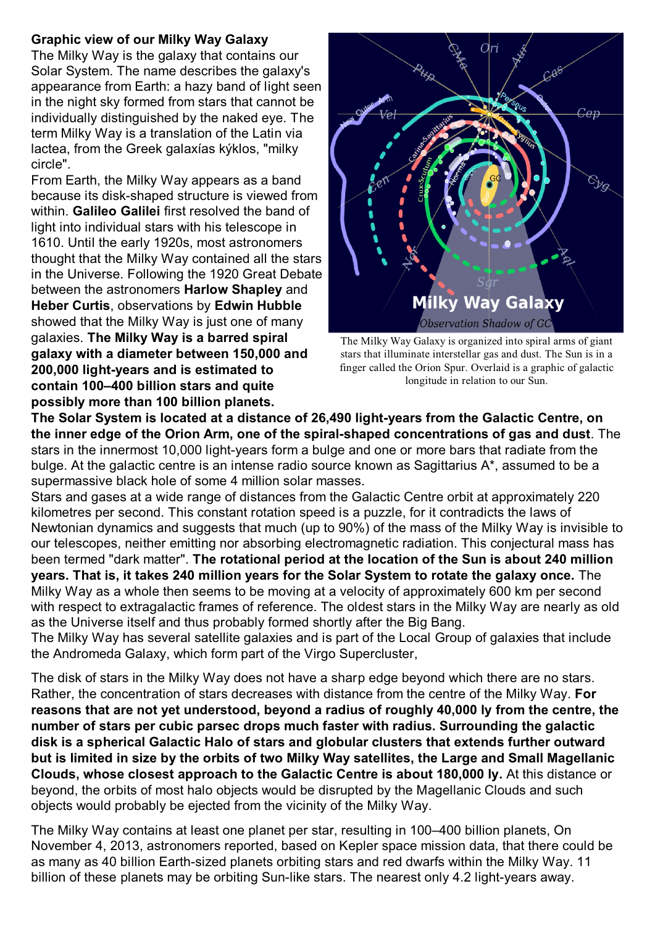## **Graphic view of our Milky Way Galaxy**

The Milky Way is the galaxy that contains our Solar System. The name describes the galaxy's appearance from Earth: a hazy band of light seen in the night sky formed from stars that cannot be individually distinguished by the naked eye. The term Milky Way is a translation of the Latin via lactea, from the Greek galaxías kýklos, "milky circle".

From Earth, the Milky Way appears as a band because its disk-shaped structure is viewed from within. **Galileo Galilei** first resolved the band of light into individual stars with his telescope in 1610. Until the early 1920s, most astronomers thought that the Milky Way contained all the stars in the Universe. Following the 1920 Great Debate between the astronomers **Harlow Shapley** and **Heber Curtis**, observations by **Edwin Hubble** showed that the Milky Way is just one of many galaxies. **The Milky Way is a barred spiral galaxy with a diameter between 150,000 and 200,000 light-years and is estimated to contain 100–400 billion stars and quite possibly more than 100 billion planets.** 



The Milky Way Galaxy is organized into spiral arms of giant stars that illuminate interstellar gas and dust. The Sun is in a finger called the Orion Spur. Overlaid is a graphic of galactic longitude in relation to our Sun.

**The Solar System is located at a distance of 26,490 light-years from the Galactic Centre, on the inner edge of the Orion Arm, one of the spiral-shaped concentrations of gas and dust**. The stars in the innermost 10,000 light-years form a bulge and one or more bars that radiate from the bulge. At the galactic centre is an intense radio source known as Sagittarius A\*, assumed to be a supermassive black hole of some 4 million solar masses.

Stars and gases at a wide range of distances from the Galactic Centre orbit at approximately 220 kilometres per second. This constant rotation speed is a puzzle, for it contradicts the laws of Newtonian dynamics and suggests that much (up to 90%) of the mass of the Milky Way is invisible to our telescopes, neither emitting nor absorbing electromagnetic radiation. This conjectural mass has been termed "dark matter". **The rotational period at the location of the Sun is about 240 million years. That is, it takes 240 million years for the Solar System to rotate the galaxy once.** The Milky Way as a whole then seems to be moving at a velocity of approximately 600 km per second with respect to extragalactic frames of reference. The oldest stars in the Milky Way are nearly as old as the Universe itself and thus probably formed shortly after the Big Bang.

The Milky Way has several satellite galaxies and is part of the Local Group of galaxies that include the Andromeda Galaxy, which form part of the Virgo Supercluster,

The disk of stars in the Milky Way does not have a sharp edge beyond which there are no stars. Rather, the concentration of stars decreases with distance from the centre of the Milky Way. **For reasons that are not yet understood, beyond a radius of roughly 40,000 ly from the centre, the number of stars per cubic parsec drops much faster with radius. Surrounding the galactic disk is a spherical Galactic Halo of stars and globular clusters that extends further outward but is limited in size by the orbits of two Milky Way satellites, the Large and Small Magellanic Clouds, whose closest approach to the Galactic Centre is about 180,000 ly.** At this distance or beyond, the orbits of most halo objects would be disrupted by the Magellanic Clouds and such objects would probably be ejected from the vicinity of the Milky Way.

The Milky Way contains at least one planet per star, resulting in 100–400 billion planets, On November 4, 2013, astronomers reported, based on Kepler space mission data, that there could be as many as 40 billion Earth-sized planets orbiting stars and red dwarfs within the Milky Way. 11 billion of these planets may be orbiting Sun-like stars. The nearest only 4.2 light-years away.